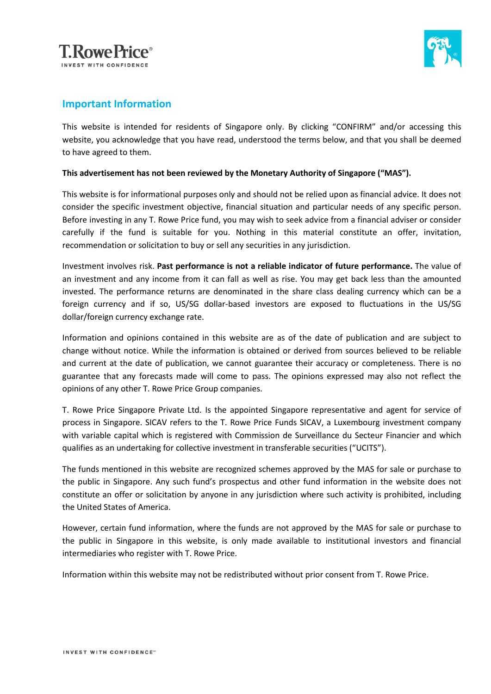



## **Important Information**

This website is intended for residents of Singapore only. By clicking "CONFIRM" and/or accessing this website, you acknowledge that you have read, understood the terms below, and that you shall be deemed to have agreed to them.

## **This advertisement has not been reviewed by the Monetary Authority of Singapore ("MAS").**

This website is for informational purposes only and should not be relied upon as financial advice. It does not consider the specific investment objective, financial situation and particular needs of any specific person. Before investing in any T. Rowe Price fund, you may wish to seek advice from a financial adviser or consider carefully if the fund is suitable for you. Nothing in this material constitute an offer, invitation, recommendation or solicitation to buy or sell any securities in any jurisdiction.

Investment involves risk. **Past performance is not a reliable indicator of future performance.** The value of an investment and any income from it can fall as well as rise. You may get back less than the amounted invested. The performance returns are denominated in the share class dealing currency which can be a foreign currency and if so, US/SG dollar-based investors are exposed to fluctuations in the US/SG dollar/foreign currency exchange rate.

Information and opinions contained in this website are as of the date of publication and are subject to change without notice. While the information is obtained or derived from sources believed to be reliable and current at the date of publication, we cannot guarantee their accuracy or completeness. There is no guarantee that any forecasts made will come to pass. The opinions expressed may also not reflect the opinions of any other T. Rowe Price Group companies.

T. Rowe Price Singapore Private Ltd. Is the appointed Singapore representative and agent for service of process in Singapore. SICAV refers to the T. Rowe Price Funds SICAV, a Luxembourg investment company with variable capital which is registered with Commission de Surveillance du Secteur Financier and which qualifies as an undertaking for collective investment in transferable securities ("UCITS").

The funds mentioned in this website are recognized schemes approved by the MAS for sale or purchase to the public in Singapore. Any such fund's prospectus and other fund information in the website does not constitute an offer or solicitation by anyone in any jurisdiction where such activity is prohibited, including the United States of America.

However, certain fund information, where the funds are not approved by the MAS for sale or purchase to the public in Singapore in this website, is only made available to institutional investors and financial intermediaries who register with T. Rowe Price.

Information within this website may not be redistributed without prior consent from T. Rowe Price.